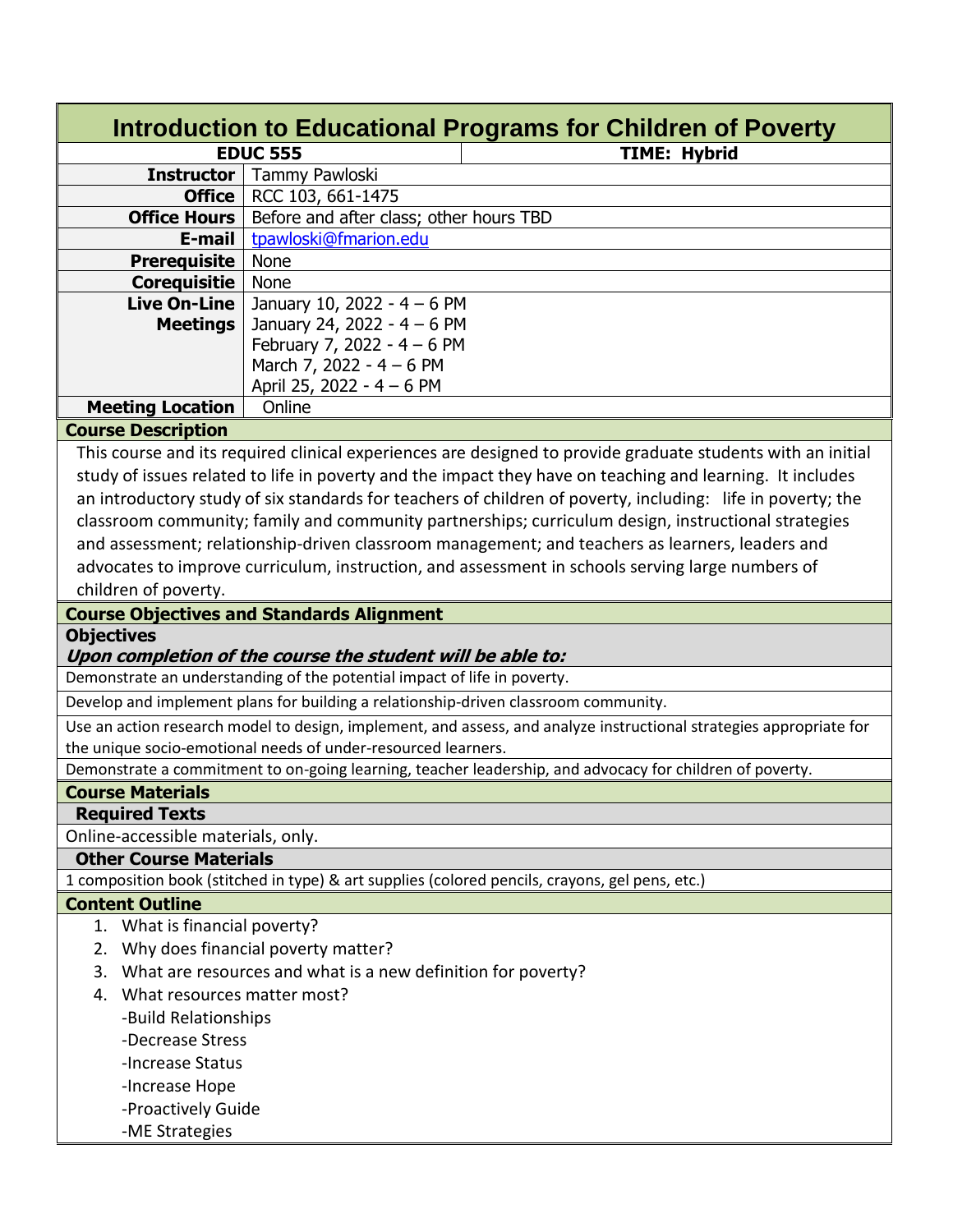| Introduction to Educational Programs for Children of Poverty                        |                                                                          |                                                                                                                     |  |  |  |
|-------------------------------------------------------------------------------------|--------------------------------------------------------------------------|---------------------------------------------------------------------------------------------------------------------|--|--|--|
|                                                                                     | <b>EDUC 555</b>                                                          | <b>TIME: Hybrid</b>                                                                                                 |  |  |  |
|                                                                                     | <b>Instructor</b>   Tammy Pawloski                                       |                                                                                                                     |  |  |  |
|                                                                                     | <b>Office</b>   RCC 103, 661-1475                                        |                                                                                                                     |  |  |  |
| <b>Office Hours</b>                                                                 | Before and after class; other hours TBD                                  |                                                                                                                     |  |  |  |
| E-mail                                                                              | tpawloski@fmarion.edu                                                    |                                                                                                                     |  |  |  |
| <b>Prerequisite</b>                                                                 | None                                                                     |                                                                                                                     |  |  |  |
| <b>Corequisitie</b>                                                                 | None                                                                     |                                                                                                                     |  |  |  |
| <b>Live On-Line</b>                                                                 | January 10, 2022 - 4 - 6 PM                                              |                                                                                                                     |  |  |  |
| <b>Meetings</b>                                                                     | January 24, 2022 - 4 - 6 PM                                              |                                                                                                                     |  |  |  |
|                                                                                     | February 7, 2022 - $4 - 6$ PM                                            |                                                                                                                     |  |  |  |
|                                                                                     | March 7, 2022 - 4 - 6 PM                                                 |                                                                                                                     |  |  |  |
|                                                                                     | April 25, 2022 - 4 - 6 PM                                                |                                                                                                                     |  |  |  |
| <b>Meeting Location</b>                                                             | Online                                                                   |                                                                                                                     |  |  |  |
| <b>Course Description</b>                                                           |                                                                          |                                                                                                                     |  |  |  |
|                                                                                     |                                                                          | This course and its required clinical experiences are designed to provide graduate students with an initial         |  |  |  |
|                                                                                     |                                                                          | study of issues related to life in poverty and the impact they have on teaching and learning. It includes           |  |  |  |
|                                                                                     |                                                                          | an introductory study of six standards for teachers of children of poverty, including: life in poverty; the         |  |  |  |
|                                                                                     |                                                                          | classroom community; family and community partnerships; curriculum design, instructional strategies                 |  |  |  |
|                                                                                     |                                                                          | and assessment; relationship-driven classroom management; and teachers as learners, leaders and                     |  |  |  |
|                                                                                     |                                                                          | advocates to improve curriculum, instruction, and assessment in schools serving large numbers of                    |  |  |  |
| children of poverty.                                                                |                                                                          |                                                                                                                     |  |  |  |
|                                                                                     | <b>Course Objectives and Standards Alignment</b>                         |                                                                                                                     |  |  |  |
| <b>Objectives</b>                                                                   |                                                                          |                                                                                                                     |  |  |  |
|                                                                                     | Upon completion of the course the student will be able to:               |                                                                                                                     |  |  |  |
|                                                                                     | Demonstrate an understanding of the potential impact of life in poverty. |                                                                                                                     |  |  |  |
| Develop and implement plans for building a relationship-driven classroom community. |                                                                          |                                                                                                                     |  |  |  |
|                                                                                     |                                                                          | Use an action research model to design, implement, and assess, and analyze instructional strategies appropriate for |  |  |  |
|                                                                                     | the unique socio-emotional needs of under-resourced learners.            |                                                                                                                     |  |  |  |
|                                                                                     |                                                                          | Demonstrate a commitment to on-going learning, teacher leadership, and advocacy for children of poverty.            |  |  |  |
| <b>Course Materials</b>                                                             |                                                                          |                                                                                                                     |  |  |  |
| <b>Required Texts</b>                                                               |                                                                          |                                                                                                                     |  |  |  |
| Online-accessible materials, only.                                                  |                                                                          |                                                                                                                     |  |  |  |
| <b>Other Course Materials</b>                                                       |                                                                          |                                                                                                                     |  |  |  |
|                                                                                     |                                                                          | 1 composition book (stitched in type) & art supplies (colored pencils, crayons, gel pens, etc.)                     |  |  |  |
| <b>Content Outline</b>                                                              |                                                                          |                                                                                                                     |  |  |  |
| 1. What is financial poverty?                                                       |                                                                          |                                                                                                                     |  |  |  |
|                                                                                     | 2. Why does financial poverty matter?                                    |                                                                                                                     |  |  |  |
|                                                                                     | 3. What are resources and what is a new definition for poverty?          |                                                                                                                     |  |  |  |
| 4. What resources matter most?                                                      |                                                                          |                                                                                                                     |  |  |  |
| -Build Relationships                                                                |                                                                          |                                                                                                                     |  |  |  |
| -Decrease Stress                                                                    |                                                                          |                                                                                                                     |  |  |  |
| -Increase Status                                                                    |                                                                          |                                                                                                                     |  |  |  |
| -Increase Hope                                                                      |                                                                          |                                                                                                                     |  |  |  |
| -Proactively Guide                                                                  |                                                                          |                                                                                                                     |  |  |  |
| -ME Strategies                                                                      |                                                                          |                                                                                                                     |  |  |  |
|                                                                                     |                                                                          |                                                                                                                     |  |  |  |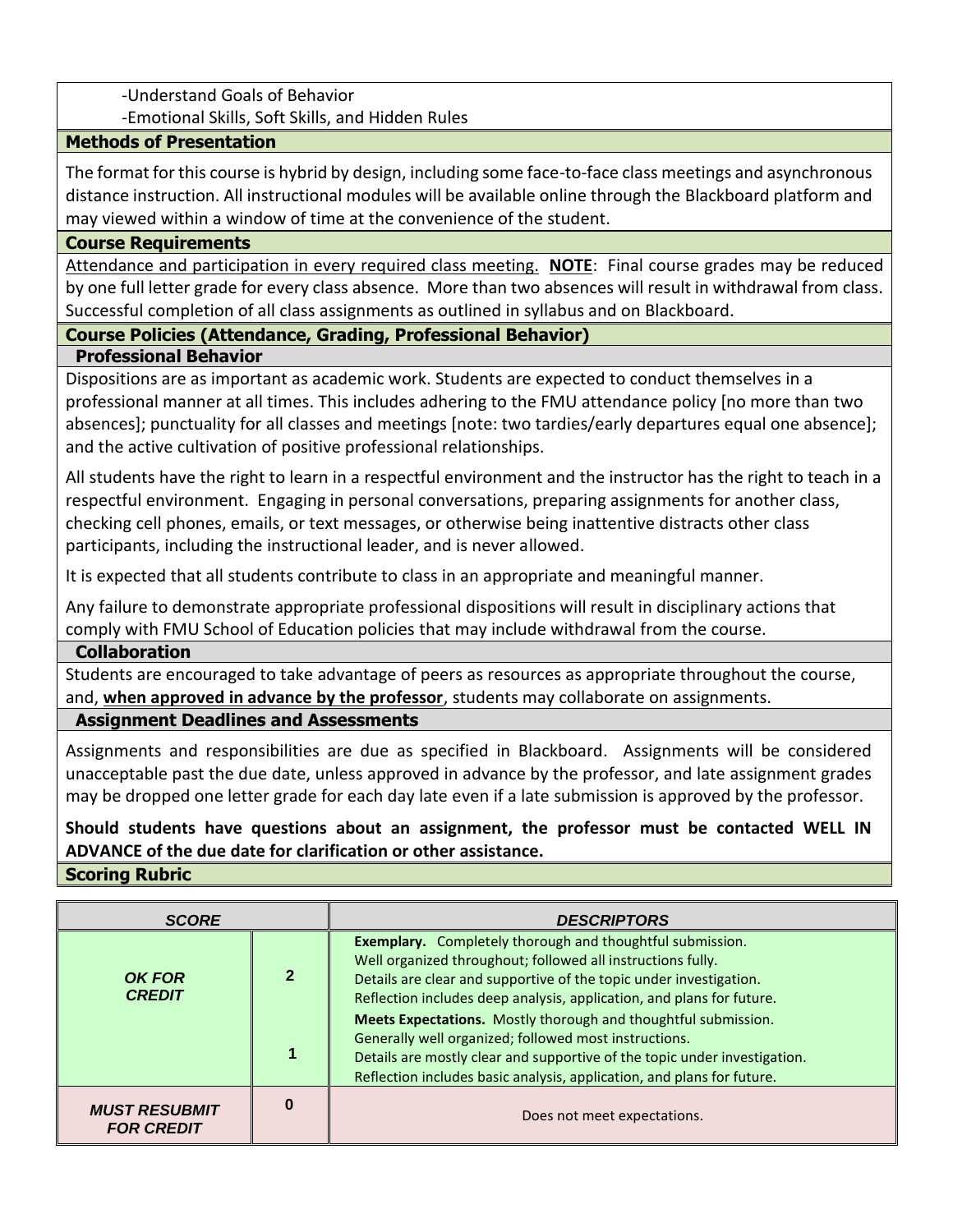-Understand Goals of Behavior

-Emotional Skills, Soft Skills, and Hidden Rules

# **Methods of Presentation**

The format for this course is hybrid by design, including some face-to-face class meetings and asynchronous distance instruction. All instructional modules will be available online through the Blackboard platform and may viewed within a window of time at the convenience of the student.

# **Course Requirements**

Attendance and participation in every required class meeting. **NOTE**: Final course grades may be reduced by one full letter grade for every class absence. More than two absences will result in withdrawal from class. Successful completion of all class assignments as outlined in syllabus and on Blackboard.

# **Course Policies (Attendance, Grading, Professional Behavior)**

# **Professional Behavior**

Dispositions are as important as academic work. Students are expected to conduct themselves in a professional manner at all times. This includes adhering to the FMU attendance policy [no more than two absences]; punctuality for all classes and meetings [note: two tardies/early departures equal one absence]; and the active cultivation of positive professional relationships.

All students have the right to learn in a respectful environment and the instructor has the right to teach in a respectful environment. Engaging in personal conversations, preparing assignments for another class, checking cell phones, emails, or text messages, or otherwise being inattentive distracts other class participants, including the instructional leader, and is never allowed.

It is expected that all students contribute to class in an appropriate and meaningful manner.

Any failure to demonstrate appropriate professional dispositions will result in disciplinary actions that comply with FMU School of Education policies that may include withdrawal from the course.

## **Collaboration**

Students are encouraged to take advantage of peers as resources as appropriate throughout the course, and, **when approved in advance by the professor**, students may collaborate on assignments.

# **Assignment Deadlines and Assessments**

Assignments and responsibilities are due as specified in Blackboard. Assignments will be considered unacceptable past the due date, unless approved in advance by the professor, and late assignment grades may be dropped one letter grade for each day late even if a late submission is approved by the professor.

# **Should students have questions about an assignment, the professor must be contacted WELL IN ADVANCE of the due date for clarification or other assistance.**

## **Scoring Rubric**

| <b>SCORE</b>                              |   | <b>DESCRIPTORS</b>                                                                                                                                                                                                                                                             |  |
|-------------------------------------------|---|--------------------------------------------------------------------------------------------------------------------------------------------------------------------------------------------------------------------------------------------------------------------------------|--|
| <b>OK FOR</b><br><b>CREDIT</b>            |   | Exemplary. Completely thorough and thoughtful submission.<br>Well organized throughout; followed all instructions fully.<br>Details are clear and supportive of the topic under investigation.<br>Reflection includes deep analysis, application, and plans for future.        |  |
|                                           |   | Meets Expectations. Mostly thorough and thoughtful submission.<br>Generally well organized; followed most instructions.<br>Details are mostly clear and supportive of the topic under investigation.<br>Reflection includes basic analysis, application, and plans for future. |  |
| <b>MUST RESUBMIT</b><br><b>FOR CREDIT</b> | 0 | Does not meet expectations.                                                                                                                                                                                                                                                    |  |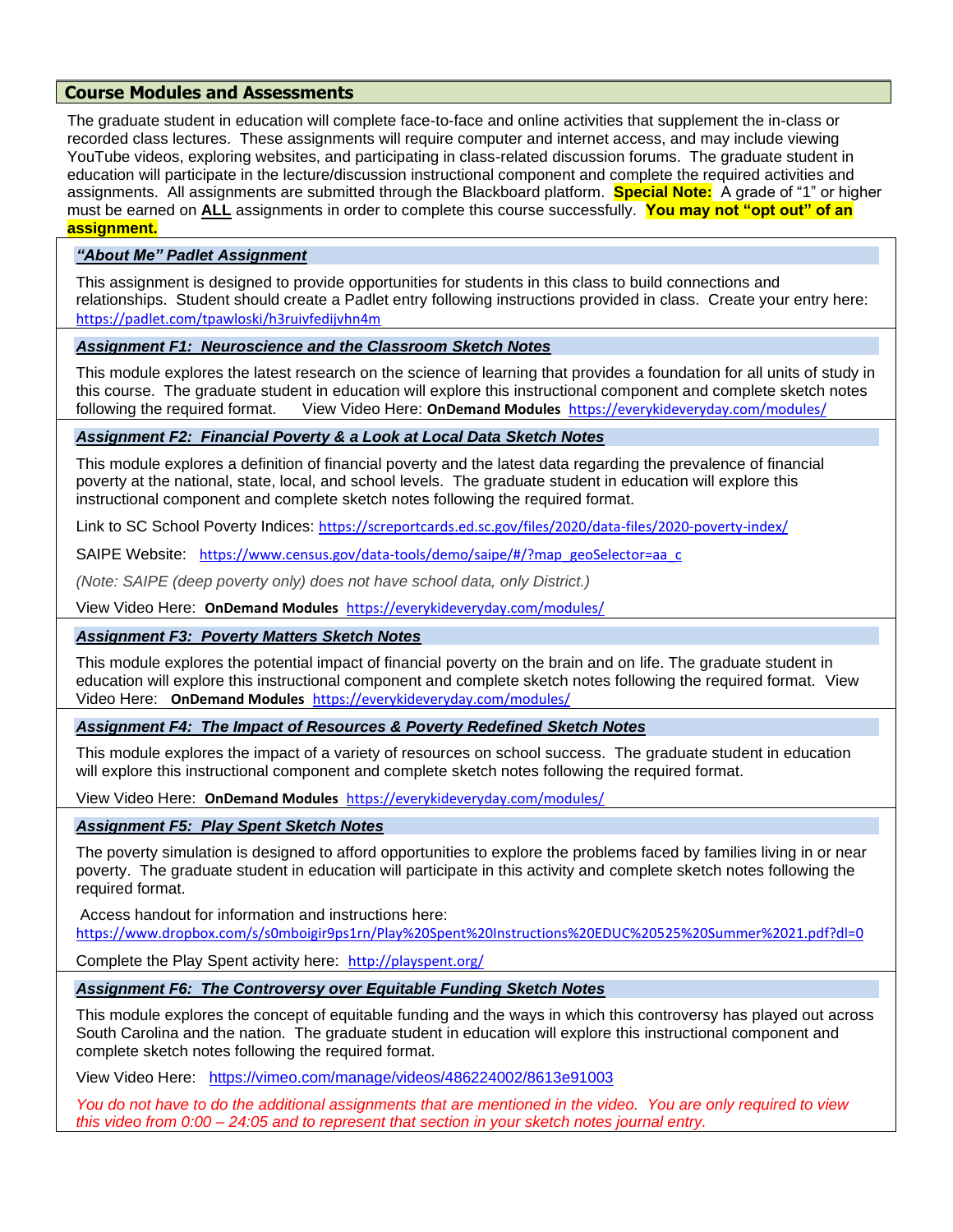## **Course Modules and Assessments**

The graduate student in education will complete face-to-face and online activities that supplement the in-class or recorded class lectures. These assignments will require computer and internet access, and may include viewing YouTube videos, exploring websites, and participating in class-related discussion forums. The graduate student in education will participate in the lecture/discussion instructional component and complete the required activities and assignments. All assignments are submitted through the Blackboard platform. **Special Note:** A grade of "1" or higher must be earned on **ALL** assignments in order to complete this course successfully. **You may not "opt out" of an assignment.**

#### *"About Me" Padlet Assignment*

This assignment is designed to provide opportunities for students in this class to build connections and relationships. Student should create a Padlet entry following instructions provided in class. Create your entry here: <https://padlet.com/tpawloski/h3ruivfedijvhn4m>

#### *Assignment F1: Neuroscience and the Classroom Sketch Notes*

This module explores the latest research on the science of learning that provides a foundation for all units of study in this course. The graduate student in education will explore this instructional component and complete sketch notes following the required format. View Video Here: **OnDemand Modules** <https://everykideveryday.com/modules/>

### *Assignment F2: Financial Poverty & a Look at Local Data Sketch Notes*

This module explores a definition of financial poverty and the latest data regarding the prevalence of financial poverty at the national, state, local, and school levels. The graduate student in education will explore this instructional component and complete sketch notes following the required format.

Link to SC School Poverty Indices: <https://screportcards.ed.sc.gov/files/2020/data-files/2020-poverty-index/>

SAIPE Website: [https://www.census.gov/data-tools/demo/saipe/#/?map\\_geoSelector=aa\\_c](https://www.census.gov/data-tools/demo/saipe/#/?map_geoSelector=aa_c)

*(Note: SAIPE (deep poverty only) does not have school data, only District.)*

View Video Here: **OnDemand Modules** <https://everykideveryday.com/modules/>

#### *Assignment F3: Poverty Matters Sketch Notes*

This module explores the potential impact of financial poverty on the brain and on life. The graduate student in education will explore this instructional component and complete sketch notes following the required format. View Video Here: **OnDemand Modules** <https://everykideveryday.com/modules/>

#### *Assignment F4: The Impact of Resources & Poverty Redefined Sketch Notes*

This module explores the impact of a variety of resources on school success. The graduate student in education will explore this instructional component and complete sketch notes following the required format.

View Video Here: **OnDemand Modules** <https://everykideveryday.com/modules/>

#### *Assignment F5: Play Spent Sketch Notes*

The poverty simulation is designed to afford opportunities to explore the problems faced by families living in or near poverty. The graduate student in education will participate in this activity and complete sketch notes following the required format.

Access handout for information and instructions here:

<https://www.dropbox.com/s/s0mboigir9ps1rn/Play%20Spent%20Instructions%20EDUC%20525%20Summer%2021.pdf?dl=0>

Complete the Play Spent activity here: <http://playspent.org/>

#### *Assignment F6: The Controversy over Equitable Funding Sketch Notes*

This module explores the concept of equitable funding and the ways in which this controversy has played out across South Carolina and the nation. The graduate student in education will explore this instructional component and complete sketch notes following the required format.

View Video Here: <https://vimeo.com/manage/videos/486224002/8613e91003>

*You do not have to do the additional assignments that are mentioned in the video. You are only required to view this video from 0:00 – 24:05 and to represent that section in your sketch notes journal entry.*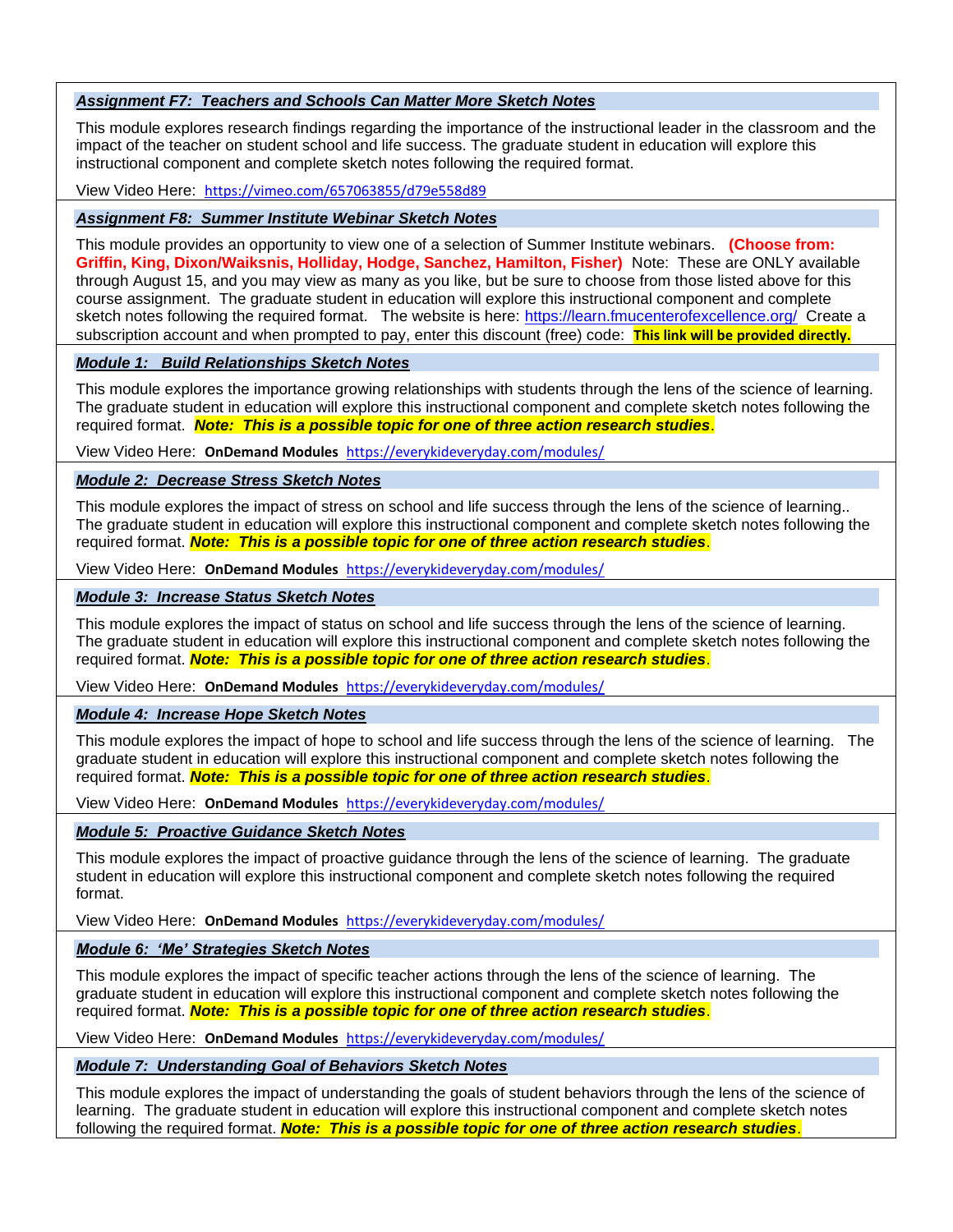#### *Assignment F7: Teachers and Schools Can Matter More Sketch Notes*

This module explores research findings regarding the importance of the instructional leader in the classroom and the impact of the teacher on student school and life success. The graduate student in education will explore this instructional component and complete sketch notes following the required format.

View Video Here: <https://vimeo.com/657063855/d79e558d89>

#### *Assignment F8: Summer Institute Webinar Sketch Notes*

This module provides an opportunity to view one of a selection of Summer Institute webinars. **(Choose from: Griffin, King, Dixon/Waiksnis, Holliday, Hodge, Sanchez, Hamilton, Fisher)** Note: These are ONLY available through August 15, and you may view as many as you like, but be sure to choose from those listed above for this course assignment. The graduate student in education will explore this instructional component and complete sketch notes following the required format. The website is here:<https://learn.fmucenterofexcellence.org/>Create a subscription account and when prompted to pay, enter this discount (free) code: **This link will be provided directly.**

#### *Module 1: Build Relationships Sketch Notes*

This module explores the importance growing relationships with students through the lens of the science of learning. The graduate student in education will explore this instructional component and complete sketch notes following the required format. *Note: This is a possible topic for one of three action research studies*.

View Video Here: **OnDemand Modules** <https://everykideveryday.com/modules/>

#### *Module 2: Decrease Stress Sketch Notes*

This module explores the impact of stress on school and life success through the lens of the science of learning.. The graduate student in education will explore this instructional component and complete sketch notes following the required format. *Note: This is a possible topic for one of three action research studies*.

View Video Here: **OnDemand Modules** <https://everykideveryday.com/modules/>

#### *Module 3: Increase Status Sketch Notes*

This module explores the impact of status on school and life success through the lens of the science of learning. The graduate student in education will explore this instructional component and complete sketch notes following the required format. *Note: This is a possible topic for one of three action research studies*.

View Video Here: **OnDemand Modules** <https://everykideveryday.com/modules/>

#### *Module 4: Increase Hope Sketch Notes*

This module explores the impact of hope to school and life success through the lens of the science of learning. The graduate student in education will explore this instructional component and complete sketch notes following the required format. *Note: This is a possible topic for one of three action research studies*.

View Video Here: **OnDemand Modules** <https://everykideveryday.com/modules/>

#### *Module 5: Proactive Guidance Sketch Notes*

This module explores the impact of proactive guidance through the lens of the science of learning. The graduate student in education will explore this instructional component and complete sketch notes following the required format.

View Video Here: **OnDemand Modules** <https://everykideveryday.com/modules/>

#### *Module 6: 'Me' Strategies Sketch Notes*

This module explores the impact of specific teacher actions through the lens of the science of learning. The graduate student in education will explore this instructional component and complete sketch notes following the required format. *Note: This is a possible topic for one of three action research studies*.

View Video Here: **OnDemand Modules** <https://everykideveryday.com/modules/>

#### *Module 7: Understanding Goal of Behaviors Sketch Notes*

This module explores the impact of understanding the goals of student behaviors through the lens of the science of learning. The graduate student in education will explore this instructional component and complete sketch notes following the required format. *Note: This is a possible topic for one of three action research studies*.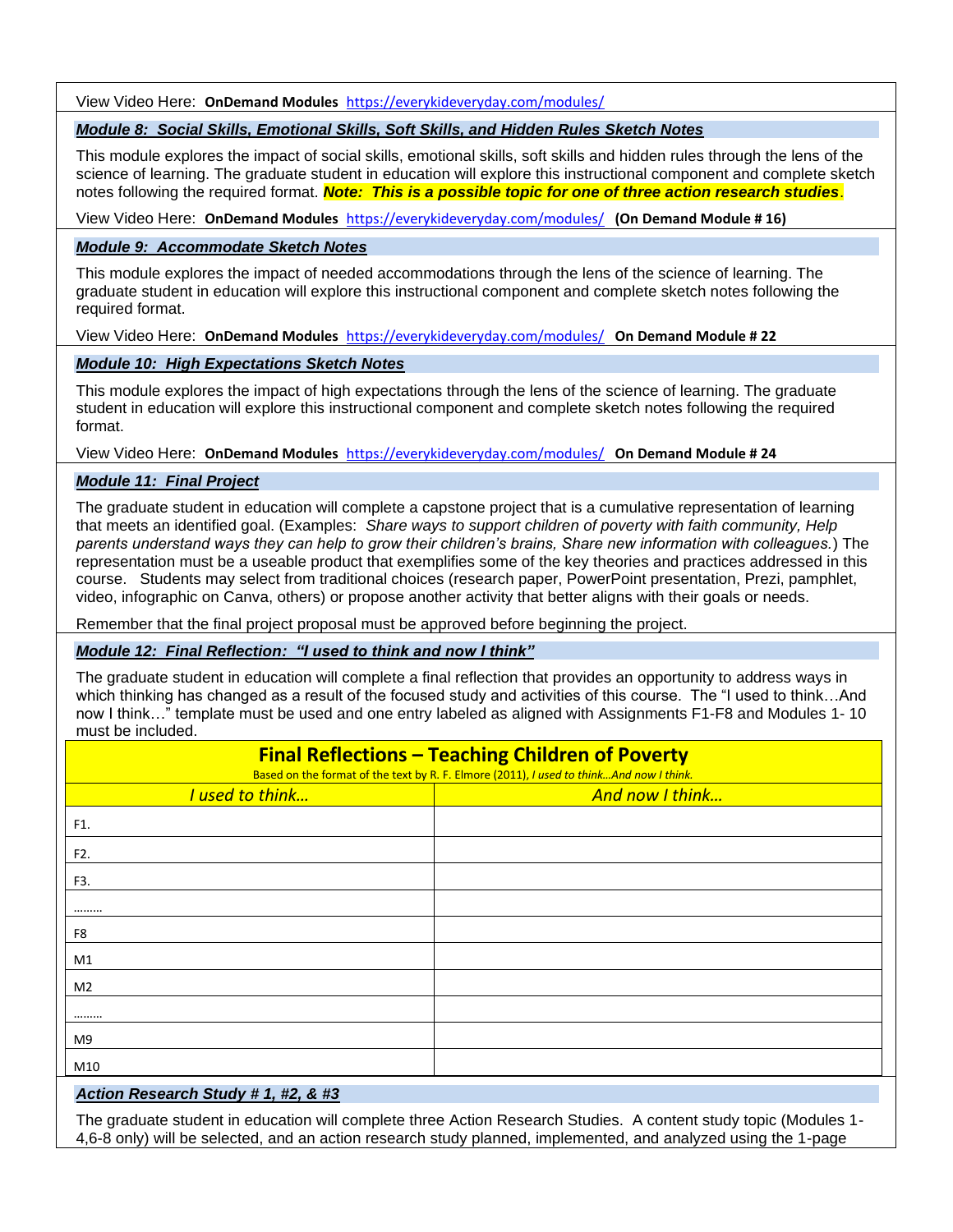View Video Here: **OnDemand Modules** <https://everykideveryday.com/modules/>

### *Module 8: Social Skills, Emotional Skills, Soft Skills, and Hidden Rules Sketch Notes*

This module explores the impact of social skills, emotional skills, soft skills and hidden rules through the lens of the science of learning. The graduate student in education will explore this instructional component and complete sketch notes following the required format. *Note: This is a possible topic for one of three action research studies*.

View Video Here: **OnDemand Modules** <https://everykideveryday.com/modules/>**(On Demand Module # 16)**

#### *Module 9: Accommodate Sketch Notes*

This module explores the impact of needed accommodations through the lens of the science of learning. The graduate student in education will explore this instructional component and complete sketch notes following the required format.

View Video Here: **OnDemand Modules** <https://everykideveryday.com/modules/>**On Demand Module # 22**

#### *Module 10: High Expectations Sketch Notes*

This module explores the impact of high expectations through the lens of the science of learning. The graduate student in education will explore this instructional component and complete sketch notes following the required format.

View Video Here: **OnDemand Modules** <https://everykideveryday.com/modules/>**On Demand Module # 24**

#### *Module 11: Final Project*

The graduate student in education will complete a capstone project that is a cumulative representation of learning that meets an identified goal. (Examples: *Share ways to support children of poverty with faith community, Help parents understand ways they can help to grow their children's brains, Share new information with colleagues.*) The representation must be a useable product that exemplifies some of the key theories and practices addressed in this course. Students may select from traditional choices (research paper, PowerPoint presentation, Prezi, pamphlet, video, infographic on Canva, others) or propose another activity that better aligns with their goals or needs.

Remember that the final project proposal must be approved before beginning the project.

#### *Module 12: Final Reflection: "I used to think and now I think"*

The graduate student in education will complete a final reflection that provides an opportunity to address ways in which thinking has changed as a result of the focused study and activities of this course. The "I used to think…And now I think…" template must be used and one entry labeled as aligned with Assignments F1-F8 and Modules 1- 10 must be included.

| <b>Final Reflections - Teaching Children of Poverty</b><br>Based on the format of the text by R. F. Elmore (2011), I used to thinkAnd now I think. |                 |  |  |
|----------------------------------------------------------------------------------------------------------------------------------------------------|-----------------|--|--|
| I used to think                                                                                                                                    | And now I think |  |  |
| F1.                                                                                                                                                |                 |  |  |
| F2.                                                                                                                                                |                 |  |  |
| F3.                                                                                                                                                |                 |  |  |
|                                                                                                                                                    |                 |  |  |
| F8                                                                                                                                                 |                 |  |  |
| M1                                                                                                                                                 |                 |  |  |
| M <sub>2</sub>                                                                                                                                     |                 |  |  |
|                                                                                                                                                    |                 |  |  |
| M9                                                                                                                                                 |                 |  |  |
| M10                                                                                                                                                |                 |  |  |

#### *Action Research Study # 1, #2, & #3*

The graduate student in education will complete three Action Research Studies. A content study topic (Modules 1- 4,6-8 only) will be selected, and an action research study planned, implemented, and analyzed using the 1-page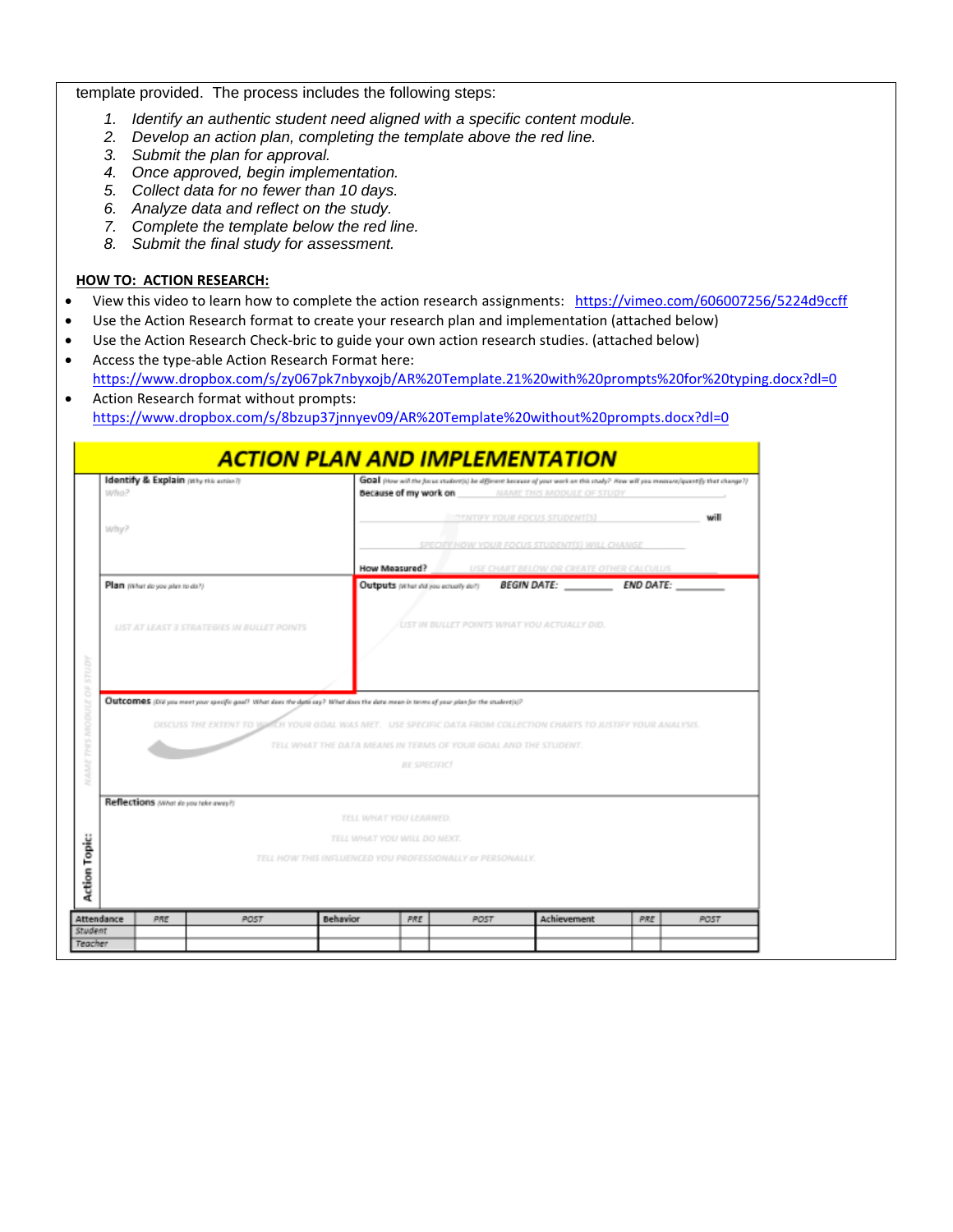#### template provided. The process includes the following steps:

- *1. Identify an authentic student need aligned with a specific content module.*
- *2. Develop an action plan, completing the template above the red line.*
- *3. Submit the plan for approval.*
- *4. Once approved, begin implementation.*
- *5. Collect data for no fewer than 10 days.*
- *6. Analyze data and reflect on the study.*
- *7. Complete the template below the red line.*
- *8. Submit the final study for assessment.*

#### **HOW TO: ACTION RESEARCH:**

- View this video to learn how to complete the action research assignments: <https://vimeo.com/606007256/5224d9ccff>
- Use the Action Research format to create your research plan and implementation (attached below)
- Use the Action Research Check-bric to guide your own action research studies. (attached below)
- Access the type-able Action Research Format here: <https://www.dropbox.com/s/zy067pk7nbyxojb/AR%20Template.21%20with%20prompts%20for%20typing.docx?dl=0>
- Action Research format without prompts: <https://www.dropbox.com/s/8bzup37jnnyev09/AR%20Template%20without%20prompts.docx?dl=0>

| Identify & Explain pay this action?)<br>who?                                                                                                                               | GOA (How will the focus student)) be different because of your work on this study? New will you measure/quantify that change?)<br>because of my work on<br>NAME THIS MODULE OF STUDY |                                               |                  |      |
|----------------------------------------------------------------------------------------------------------------------------------------------------------------------------|--------------------------------------------------------------------------------------------------------------------------------------------------------------------------------------|-----------------------------------------------|------------------|------|
|                                                                                                                                                                            |                                                                                                                                                                                      | THENTIFY YOUR FOCUS STUDENT[S]                |                  | will |
| Why?                                                                                                                                                                       |                                                                                                                                                                                      | SPECIFY HOW YOUR FOCUS STUDENTIS  WILL CHANGE |                  |      |
|                                                                                                                                                                            | How Measured?                                                                                                                                                                        | USE CHART BELOW OR CREATE OTHER CALCULUS      |                  |      |
| Plan (What do you plan to do?)                                                                                                                                             | Outputs (what did you actually do?)                                                                                                                                                  | <b>BEGIN DATE:</b>                            | <b>END DATE:</b> |      |
| LIST AT LEAST 3 STRATEGIES IN BULLET POINTS                                                                                                                                |                                                                                                                                                                                      | UST IN BULLET POINTS WHAT YOU ACTUALLY DID.   |                  |      |
|                                                                                                                                                                            |                                                                                                                                                                                      |                                               |                  |      |
| DISCUSS THE EXTENT TO WARCH YOUR GOAL WAS INET. USE SPECIFIC DATA FROM COLLECTION CHARTS TO JUSTIFY YOUR ANALYSIS.                                                         | TELL WHAT THE DATA MEANS IN TERMS OF YOUR GOAL AND THE STUDENT.                                                                                                                      |                                               |                  |      |
|                                                                                                                                                                            | <b>BE SPECIFIC!</b>                                                                                                                                                                  |                                               |                  |      |
|                                                                                                                                                                            |                                                                                                                                                                                      |                                               |                  |      |
|                                                                                                                                                                            | TELL WHAT YOU LEARNED.                                                                                                                                                               |                                               |                  |      |
| Outcomes (Did you meet your specific goal? What does the data cay? What does the data mean in terms of your plan for the student(s)?<br>Reflections awarde you tele away?) | TELL WHAT YOU WILL DO NEXT.                                                                                                                                                          |                                               |                  |      |
|                                                                                                                                                                            | TELL HOW THIS INFLUENCED YOU PROFESSIONALLY or PERSONALLY.                                                                                                                           |                                               |                  |      |
| Attendance<br>PRE<br>PO5T                                                                                                                                                  | <b>Behavior</b><br>PRE<br>POST                                                                                                                                                       | Achievement                                   | <b>PRE</b>       | POST |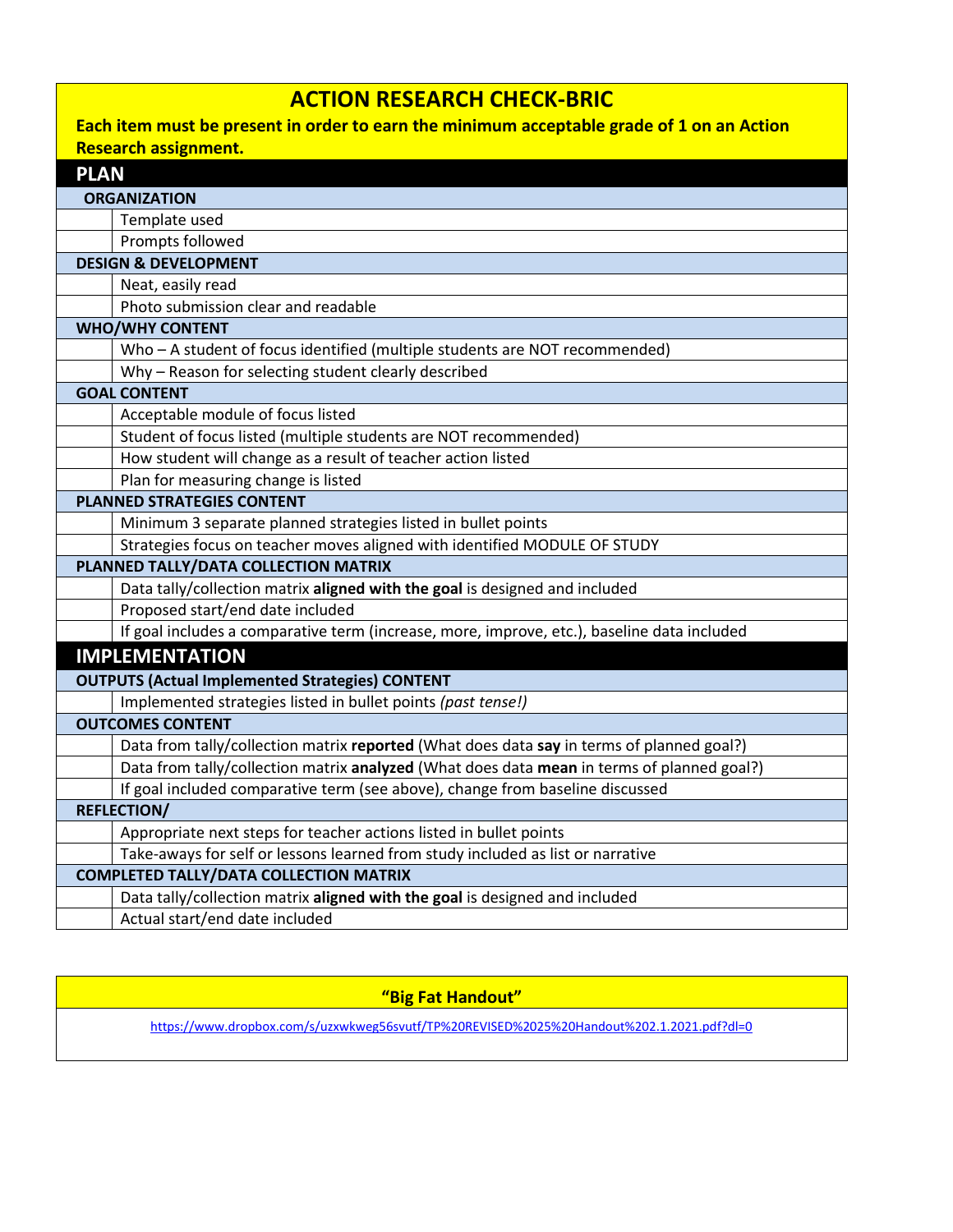# **ACTION RESEARCH CHECK-BRIC**

# **Each item must be present in order to earn the minimum acceptable grade of 1 on an Action Research assignment.**

| <b>PLAN</b>                                   |                                                                                             |  |  |  |
|-----------------------------------------------|---------------------------------------------------------------------------------------------|--|--|--|
|                                               | <b>ORGANIZATION</b>                                                                         |  |  |  |
|                                               | Template used                                                                               |  |  |  |
|                                               | Prompts followed                                                                            |  |  |  |
| <b>DESIGN &amp; DEVELOPMENT</b>               |                                                                                             |  |  |  |
|                                               | Neat, easily read                                                                           |  |  |  |
|                                               | Photo submission clear and readable                                                         |  |  |  |
|                                               | <b>WHO/WHY CONTENT</b>                                                                      |  |  |  |
|                                               | Who - A student of focus identified (multiple students are NOT recommended)                 |  |  |  |
|                                               | Why - Reason for selecting student clearly described                                        |  |  |  |
|                                               | <b>GOAL CONTENT</b>                                                                         |  |  |  |
|                                               | Acceptable module of focus listed                                                           |  |  |  |
|                                               | Student of focus listed (multiple students are NOT recommended)                             |  |  |  |
|                                               | How student will change as a result of teacher action listed                                |  |  |  |
|                                               | Plan for measuring change is listed                                                         |  |  |  |
|                                               | <b>PLANNED STRATEGIES CONTENT</b>                                                           |  |  |  |
|                                               | Minimum 3 separate planned strategies listed in bullet points                               |  |  |  |
|                                               | Strategies focus on teacher moves aligned with identified MODULE OF STUDY                   |  |  |  |
| PLANNED TALLY/DATA COLLECTION MATRIX          |                                                                                             |  |  |  |
|                                               | Data tally/collection matrix aligned with the goal is designed and included                 |  |  |  |
|                                               | Proposed start/end date included                                                            |  |  |  |
|                                               | If goal includes a comparative term (increase, more, improve, etc.), baseline data included |  |  |  |
|                                               | <b>IMPLEMENTATION</b>                                                                       |  |  |  |
|                                               | <b>OUTPUTS (Actual Implemented Strategies) CONTENT</b>                                      |  |  |  |
|                                               | Implemented strategies listed in bullet points (past tense!)                                |  |  |  |
|                                               | <b>OUTCOMES CONTENT</b>                                                                     |  |  |  |
|                                               | Data from tally/collection matrix reported (What does data say in terms of planned goal?)   |  |  |  |
|                                               | Data from tally/collection matrix analyzed (What does data mean in terms of planned goal?)  |  |  |  |
|                                               | If goal included comparative term (see above), change from baseline discussed               |  |  |  |
|                                               | <b>REFLECTION/</b>                                                                          |  |  |  |
|                                               | Appropriate next steps for teacher actions listed in bullet points                          |  |  |  |
|                                               | Take-aways for self or lessons learned from study included as list or narrative             |  |  |  |
| <b>COMPLETED TALLY/DATA COLLECTION MATRIX</b> |                                                                                             |  |  |  |
|                                               | Data tally/collection matrix aligned with the goal is designed and included                 |  |  |  |
|                                               | Actual start/end date included                                                              |  |  |  |

**"Big Fat Handout"**

<https://www.dropbox.com/s/uzxwkweg56svutf/TP%20REVISED%2025%20Handout%202.1.2021.pdf?dl=0>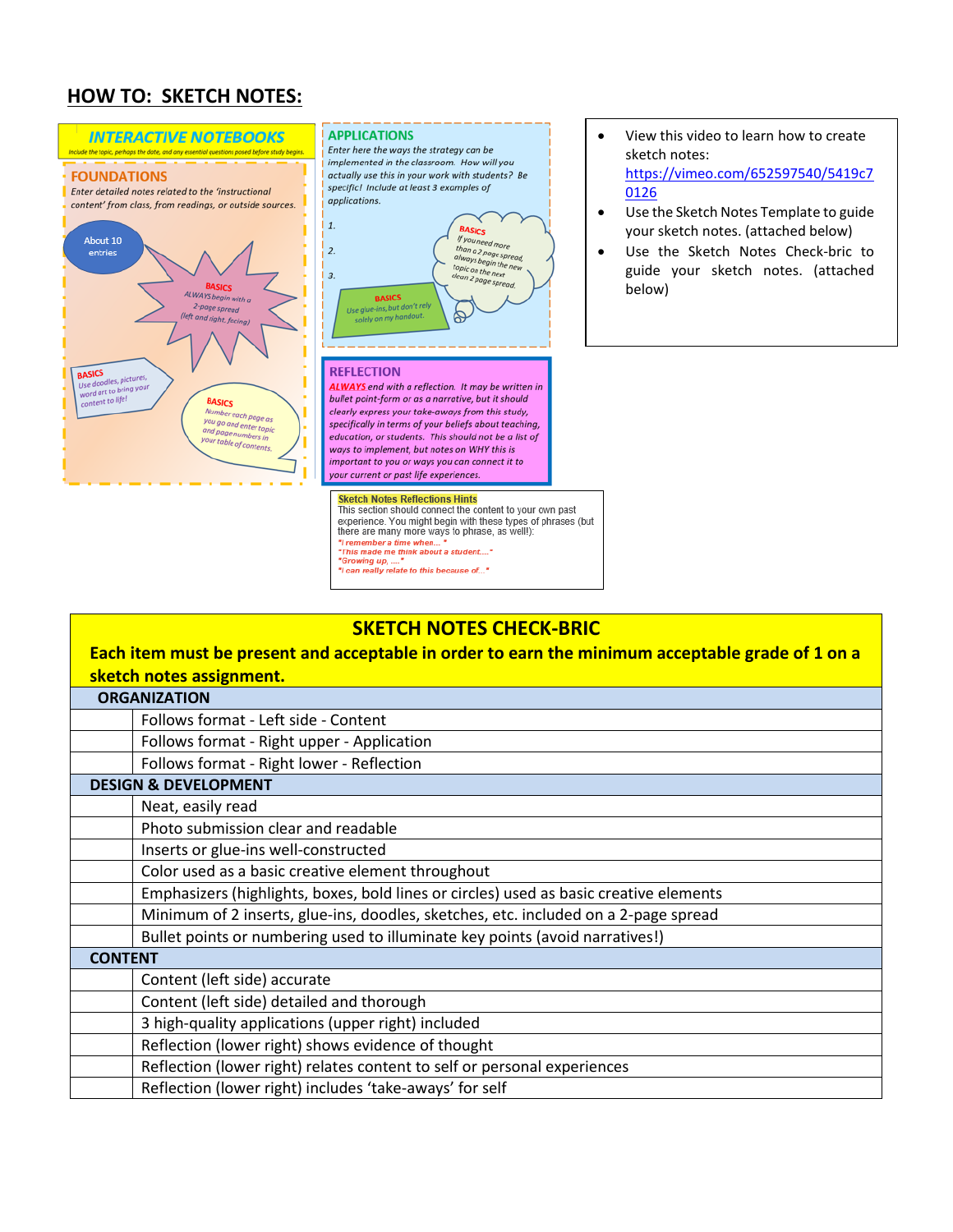# **HOW TO: SKETCH NOTES:**



# **SKETCH NOTES CHECK-BRIC**

| Each item must be present and acceptable in order to earn the minimum acceptable grade of 1 on a |                                                                                        |  |  |  |
|--------------------------------------------------------------------------------------------------|----------------------------------------------------------------------------------------|--|--|--|
| sketch notes assignment.                                                                         |                                                                                        |  |  |  |
| <b>ORGANIZATION</b>                                                                              |                                                                                        |  |  |  |
|                                                                                                  | Follows format - Left side - Content                                                   |  |  |  |
|                                                                                                  | Follows format - Right upper - Application                                             |  |  |  |
|                                                                                                  | Follows format - Right lower - Reflection                                              |  |  |  |
| <b>DESIGN &amp; DEVELOPMENT</b>                                                                  |                                                                                        |  |  |  |
|                                                                                                  | Neat, easily read                                                                      |  |  |  |
|                                                                                                  | Photo submission clear and readable                                                    |  |  |  |
|                                                                                                  | Inserts or glue-ins well-constructed                                                   |  |  |  |
|                                                                                                  | Color used as a basic creative element throughout                                      |  |  |  |
|                                                                                                  | Emphasizers (highlights, boxes, bold lines or circles) used as basic creative elements |  |  |  |
|                                                                                                  | Minimum of 2 inserts, glue-ins, doodles, sketches, etc. included on a 2-page spread    |  |  |  |
|                                                                                                  | Bullet points or numbering used to illuminate key points (avoid narratives!)           |  |  |  |
| <b>CONTENT</b>                                                                                   |                                                                                        |  |  |  |
|                                                                                                  | Content (left side) accurate                                                           |  |  |  |
|                                                                                                  | Content (left side) detailed and thorough                                              |  |  |  |
|                                                                                                  | 3 high-quality applications (upper right) included                                     |  |  |  |
|                                                                                                  | Reflection (lower right) shows evidence of thought                                     |  |  |  |
|                                                                                                  | Reflection (lower right) relates content to self or personal experiences               |  |  |  |
|                                                                                                  | Reflection (lower right) includes 'take-aways' for self                                |  |  |  |